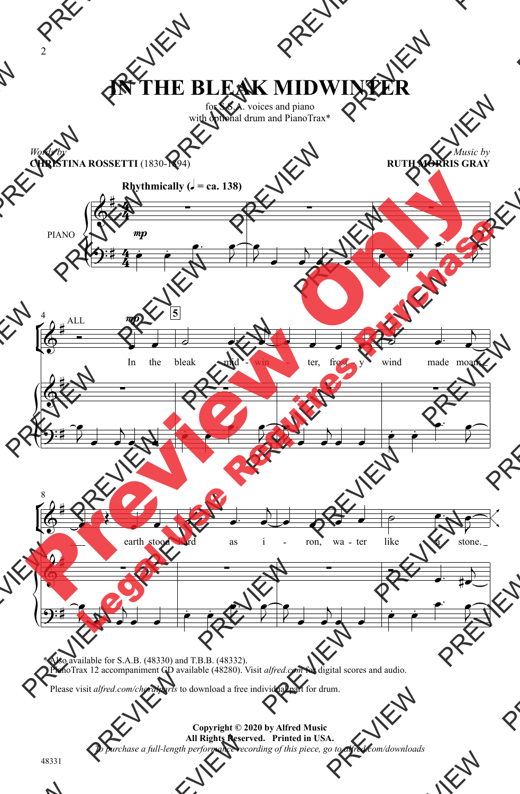## **IN THE BLEAK MIDWINTER**

for S.S.A. voices and piano with optional drum and PianoTrax\*



\* Also available for S.A.B. (48330) and T.B.B. (48332). PianoTrax 12 accompaniment CD available (48280). Visit *alfred.com* for digital scores and audio.

Please visit *alfred.com/choralparts* to download a free individual part for drum.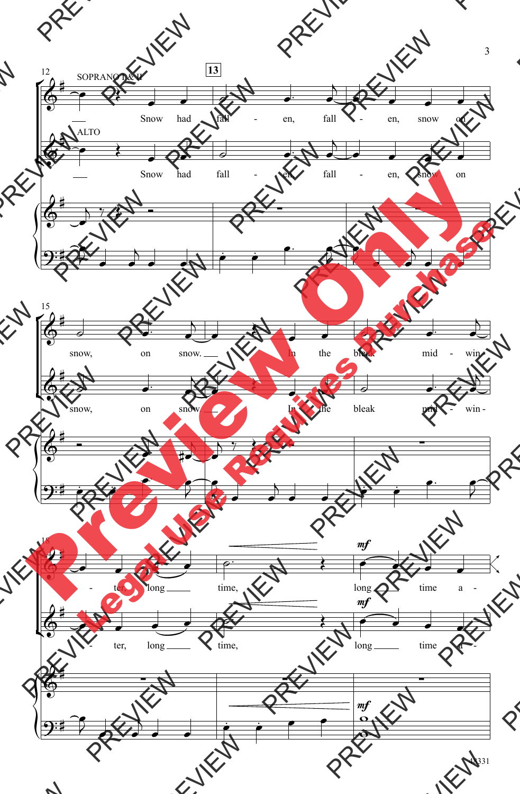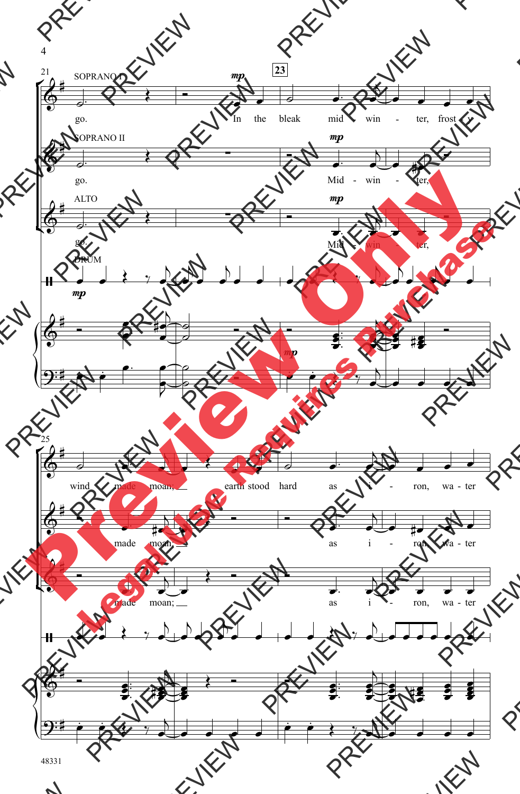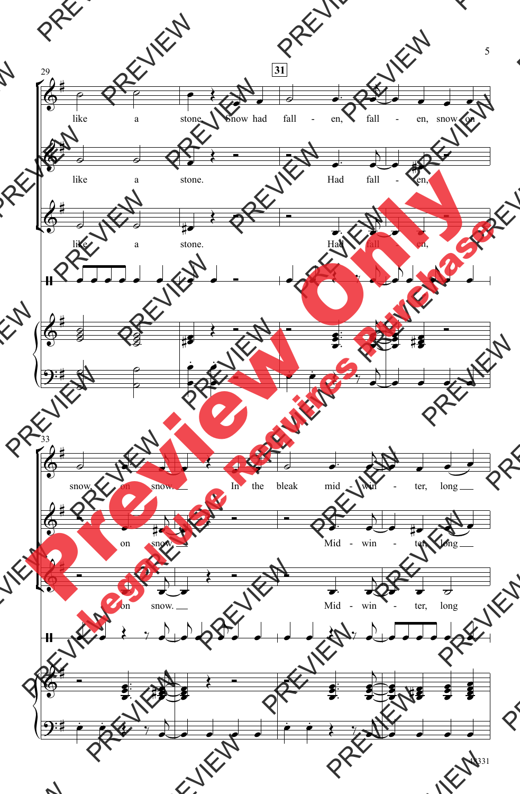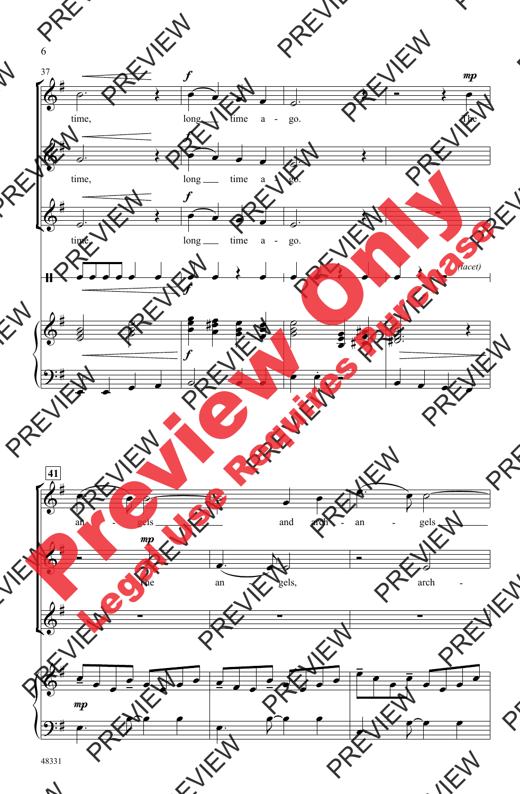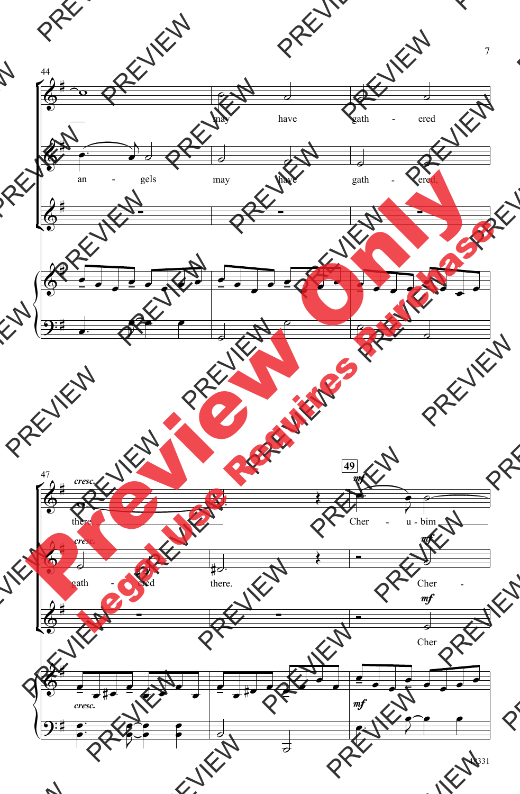

7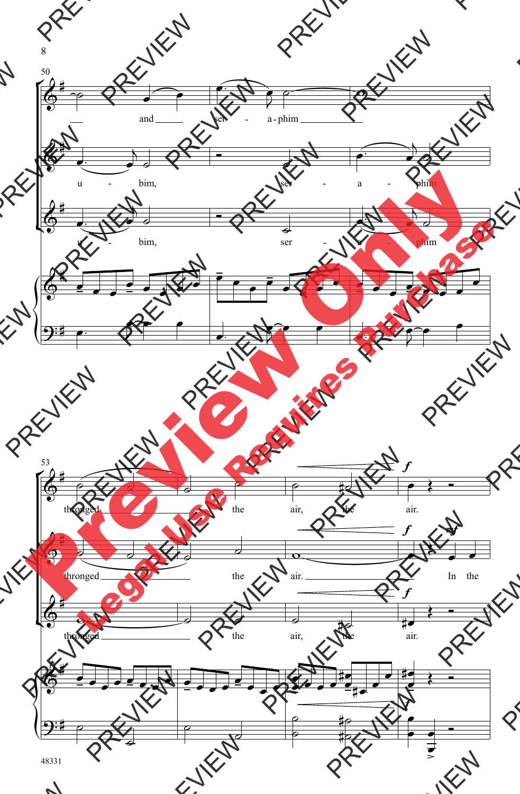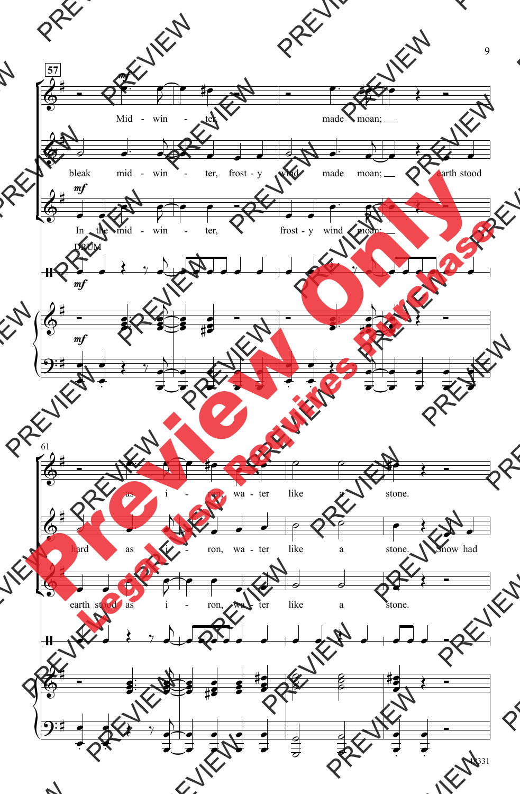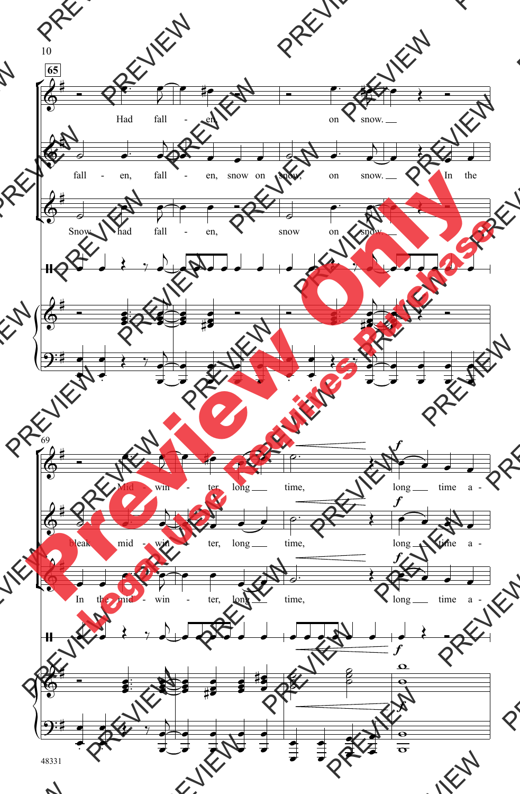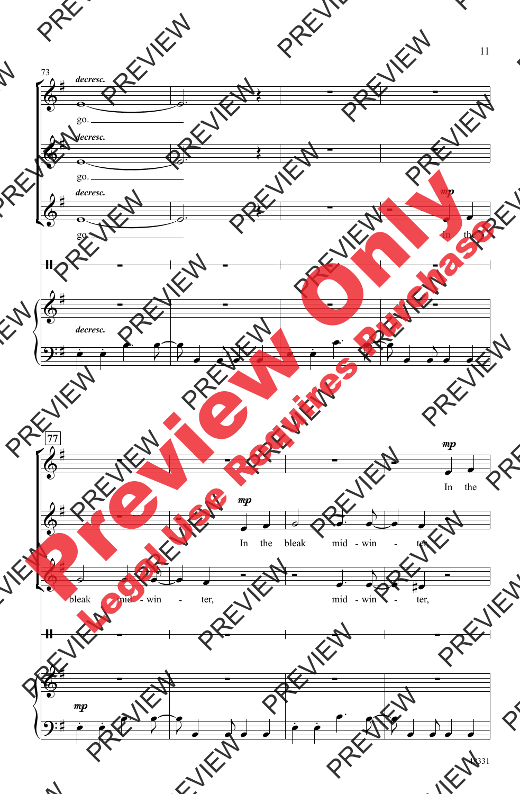

48331